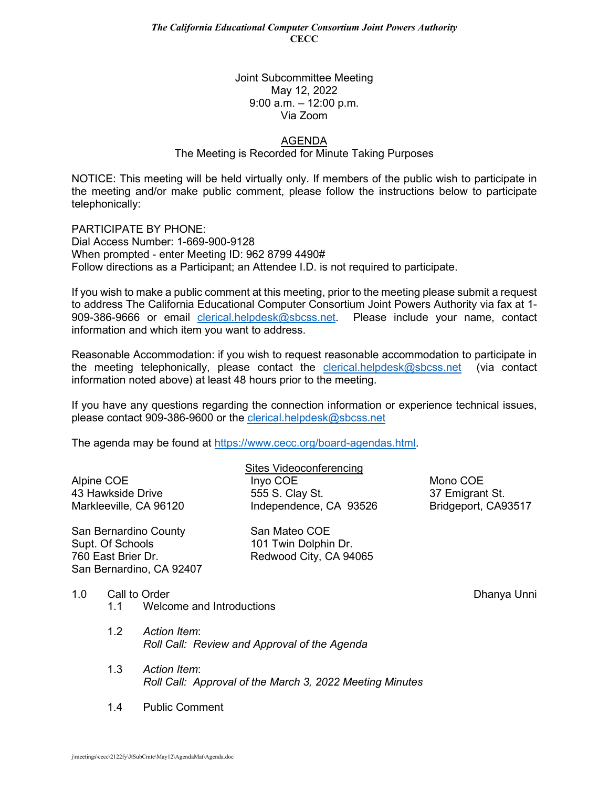## Joint Subcommittee Meeting May 12, 2022 9:00 a.m. – 12:00 p.m. Via Zoom

## AGENDA

The Meeting is Recorded for Minute Taking Purposes

NOTICE: This meeting will be held virtually only. If members of the public wish to participate in the meeting and/or make public comment, please follow the instructions below to participate telephonically:

PARTICIPATE BY PHONE: Dial Access Number: 1-669-900-9128 When prompted - enter Meeting ID: 962 8799 4490# Follow directions as a Participant; an Attendee I.D. is not required to participate.

If you wish to make a public comment at this meeting, prior to the meeting please submit a request to address The California Educational Computer Consortium Joint Powers Authority via fax at 1- 909-386-9666 or email [clerical.helpdesk@sbcss.net.](mailto:clerical.helpdesk@sbcss.net) Please include your name, contact information and which item you want to address.

Reasonable Accommodation: if you wish to request reasonable accommodation to participate in the meeting telephonically, please contact the  $\frac{c}{c}$  lerical.helpdesk@sbcss.net (via contact information noted above) at least 48 hours prior to the meeting.

If you have any questions regarding the connection information or experience technical issues, please contact 909-386-9600 or the [clerical.helpdesk@sbcss.net](mailto:clerical.helpdesk@sbcss.net)

The agenda may be found at [https://www.cecc.org/board-agendas.html.](https://www.cecc.org/board-agendas.html)

|                        | Sites Videoconferencing |                     |
|------------------------|-------------------------|---------------------|
| Alpine COE             | Inyo COE                | Mono COE            |
| 43 Hawkside Drive      | 555 S. Clay St.         | 37 Emigrant St.     |
| Markleeville, CA 96120 | Independence, CA 93526  | Bridgeport, CA93517 |
|                        |                         |                     |

San Bernardino County San Mateo COE Supt. Of Schools 101 Twin Dolphin Dr. 760 East Brier Dr. Redwood City, CA 94065 San Bernardino, CA 92407

1.0 Call to Order Dhanya Unni

- 1.1 Welcome and Introductions
- 1.2 *Action Item*: *Roll Call: Review and Approval of the Agenda*
- 1.3 *Action Item*: *Roll Call: Approval of the March 3, 2022 Meeting Minutes*
- 1.4 Public Comment